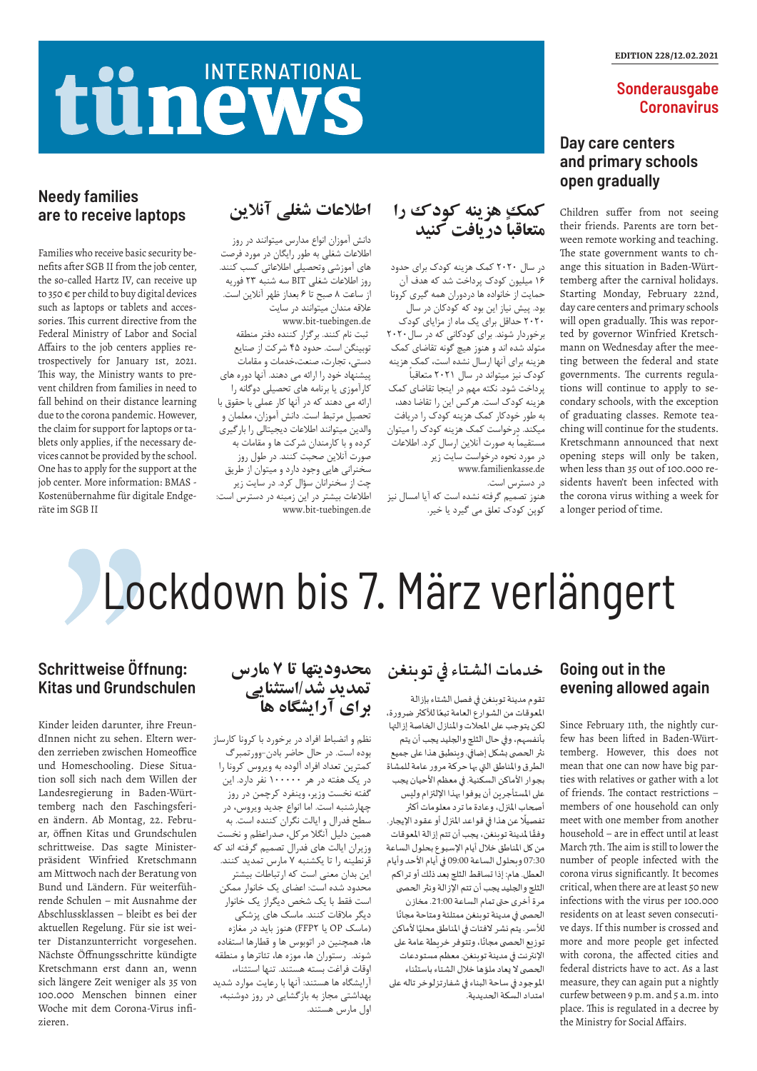## **Sonderausgabe Coronavirus**

## **Going out in the evening allowed again**

Since February 11th, the nightly curfew has been lifted in Baden-Württemberg. However, this does not mean that one can now have big parties with relatives or gather with a lot of friends. The contact restrictions – members of one household can only meet with one member from another household – are in effect until at least March 7th. The aim is still to lower the number of people infected with the corona virus significantly. It becomes critical, when there are at least 50 new infections with the virus per 100.000 residents on at least seven consecutive days. If this number is crossed and more and more people get infected with corona, the affected cities and federal districts have to act. As a last measure, they can again put a nightly curfew between 9 p.m. and 5 a.m. into place. This is regulated in a decree by the Ministry for Social Affairs.

## **Schrittweise Öffnung: Kitas und Grundschulen**

Kinder leiden darunter, ihre FreundInnen nicht zu sehen. Eltern werden zerrieben zwischen Homeoffice und Homeschooling. Diese Situation soll sich nach dem Willen der Landesregierung in Baden-Württemberg nach den Faschingsferien ändern. Ab Montag, 22. Februar, öffnen Kitas und Grundschulen schrittweise. Das sagte Ministerpräsident Winfried Kretschmann am Mittwoch nach der Beratung von Bund und Ländern. Für weiterführende Schulen – mit Ausnahme der Abschlussklassen – bleibt es bei der aktuellen Regelung. Für sie ist weiter Distanzunterricht vorgesehen. Nächste Öffnungsschritte kündigte Kretschmann erst dann an, wenn sich längere Zeit weniger als 35 von 100.000 Menschen binnen einer Woche mit dem Corona-Virus infizieren.

# Lockdown bis 7. März verlängert

## **Day care centers and primary schools open gradually**

Children suffer from not seeing their friends. Parents are torn between remote working and teaching. The state government wants to change this situation in Baden-Württemberg after the carnival holidays. Starting Monday, February 22nd, day care centers and primary schools will open gradually. This was reported by governor Winfried Kretschmann on Wednesday after the meeting between the federal and state governments. The currents regulations will continue to apply to secondary schools, with the exception of graduating classes. Remote teaching will continue for the students. Kretschmann announced that next opening steps will only be taken, when less than 35 out of 100.000 residents haven't been infected with the corona virus withing a week for a longer period of time.

## tünews **INTERNATIONAL**

## **Needy families are to receive laptops**

Families who receive basic security benefits after SGB II from the job center, the so-called Hartz IV, can receive up to 350  $\epsilon$  per child to buy digital devices such as laptops or tablets and accessories. This current directive from the Federal Ministry of Labor and Social Affairs to the job centers applies retrospectively for January 1st, 2021. This way, the Ministry wants to prevent children from families in need to fall behind on their distance learning due to the corona pandemic. However, the claim for support for laptops or tablets only applies, if the necessary devices cannot be provided by the school. One has to apply for the support at the job center. More information: BMAS - Kostenübernahme für digitale Endgeräte im SGB II

## **خدمات الشتاء في توبنغن**

تقوم مدينة توبنغن في فصل الشتاء بإزالة ر<br>المعوقات من الشوارع العامة تبعًا للأكثر ضرورة، لكن يتوجب على املحالت واملنازل الخاصة إزالتها بأنفسهم، وفي حال الثلج والجليد يجب أن يتم نثر الحصى بشكل إضافي. وينطبق هذا على جميع الطرق واملناطق التي بها حركة مرور عامة للمشاة بجوار األماكن السكنية. في معظم األحيان يجب على المستأجرين أن يوفوا بهذا الإلتزام وليس أصحاب املنزل، وعادة ما ترد معلومات أكثر .<br>تفصيلًا عن هذا في قواعد المنزل أو عقود الإيجار. ًوفقًا لمدينة توبنغن، يجب أن تتم إزالة المعوقات من كل المناطق خلال أيام الإسبوع بحلول الساعة 07:30 وبحلول الساعة 09:00 في أيام األحد وأيام العطل. هام: إذا تساقط الثلج بعد ذلك أو تراكم الثلج والجليد يجب أن تتم الإزالة ونثر الحصى مرة أخرى حتى تمام الساعة 21:00. مخازن ر<br>الحصى في مدينة توبنغن ممتلئة ومتاحة مجانًا ر.<br>للأسر. يتم نشر لافتات في المناطق محليًا لأماكن ر - مسرح المسرح .<br>توزيع الحصى مجانًا، وتتوفر خريطة عامة على اإلنترنت في مدينة توبنغن. معظم مستودعات الحصى لا يعاد ملؤها خلال الشتاء باستثناء املوجود في ساحة البناء في شفارتزلوخر تاله على امتداد السكة الحديدية.

**محدوديتها تا ٧ مارس** 

**تمديد شد/استثنايی** 

**برای آرايشگاه ها**

نظم و انضباط افراد در برخورد با کرونا کارساز بوده است. در حال حاضر بادن-وورتمبرگ کمترین تعداد افراد آلوده به ویروس کرونا را در یک هفته در هر ١٠٠٠٠٠ نفر دارد. این گفته نخست وزیر، وینفرد کرچمن در روز

چهارشنبه است. اما انواع جدید ویروس، در سطح فدرال و ایالت نگران کننده است. به همین دلیل آنگال مرکل، صدراعظم و نخست وزیران ایالت های فدرال تصمیم گرفته اند که قرنطینه را تا یکشنبه ٧ مارس تمدید کنند. این بدان معنی است که ارتباطات بیشتر محدود شده است: اعضای یک خانوار ممکن است فقط با یک شخص دیگراز یک خانوار دیگر مالقات کنند. ماسک های پزشکی )ماسک OP یا 2FFP )هنوز باید در مغازه ها، همچنین در اتوبوس ها و قطارها استفاده شوند. رستوران ها، موزه ها، تئاترها و منطقه اوقات فراغت بسته هستند. تنها استثناء، آرایشگاه ها هستند: آنها با رعایت موارد شدید بهداشتی مجاز به بازگشایی در روز دوشنبه، اول مارس هستند.

## **کمك هزينه کودک را ً متعاقبا دريافت کنید**

در سال 2٠2٠ کمک هزینه کودک برای حدود ١۶ میلیون کودک پرداخت شد که هدف آن حمایت از خانواده ها دردوران همه گیری کرونا بود. پیش نیاز این بود که کودکان در سال 2٠2٠ حداقل برای یک ماه از مزایای کودک برخوردار شوند. برای کودکانی که در سال2٠2٠ متولد شده اند و هنوز هیچ گونه تقاضای کمک هزینه برای آنها ارسال نشده است، کمک هزینه کودک نیز میتواند در سال 2٠2١ متعاقباً پرداخت شود. نکته مهم در اینجا تقاضای کمک هزینه کودک است. هرکس این را تقاضا دهد، به طور خودکار کمک هزینه کودک را دریافت میکند. درخواست کمک هزینه کودک را میتوان مستقیماً به صورت آنالین ارسال کرد. اطالعات در مورد نحوه درخواست سایت زیر www.familienkasse.de در دسترس است.

هنوز تصمیم گرفته نشده است که آیا امسال نیز کوپن کودک تعلق می گیرد یا خیر.

## **اطالعات شغلی آنالين**

دانش آموزان انواع مدارس میتوانند در روز اطالعات شغلی به طور رایگان در مورد فرصت های آموزشی وتحصیلی اطالعاتی کسب کنند. روز اطالعات شغلی BIT سه شنبه 2٣ فوریه از ساعت ٨ صبح تا ۶ بعداز ظهر آنالین است. عالقه مندان میتوانند در سایت www.bit-tuebingen.de ثبت نام کنند. برگزار کننده دفتر منطقه توبینگن است. حدود ٤٥ شرکت از صنایع دستی، تجارت، صنعت،خدمات و مقامات پیشنهاد خود را ارائه می دهند. آنها دوره های کارآموزی یا برنامه های تحصیلی دوگانه را ارائه می دهند که در آنها کار عملی با حقوق با تحصیل مرتبط است. دانش آموزان، معلمان و والدین میتوانند اطالعات دیجیتالی را بارگیری کرده و با کارمندان شرکت ها و مقامات به صورت آنالین صحبت کنند. در طول روز سخنرانی هایی وجود دارد و میتوان از طریق چت از سخنرانان سؤال کرد. در سایت زیر اطالعات بیشتر در این زمینه در دسترس است: www.bit-tuebingen.de